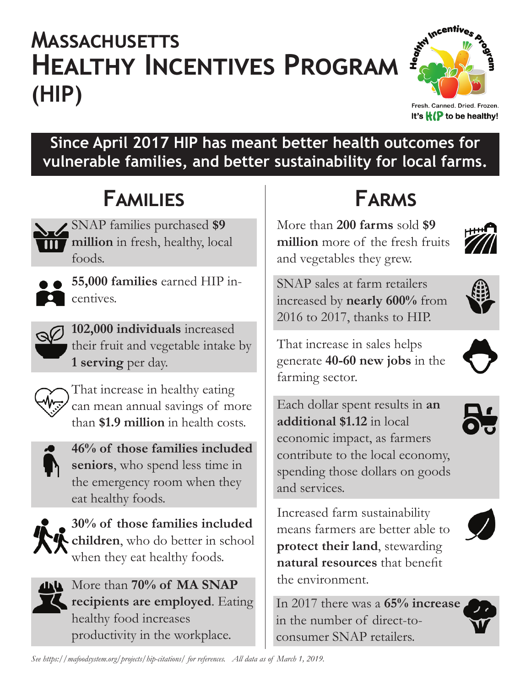# **HEALTHY INCENTIVES PROGRAM (HIP) Massachusetts**



Fresh. Canned. Dried. Frozen. It's  $\mathbf{H}(\mathbf{P})$  to be healthy!

#### **Since April 2017 HIP has meant better health outcomes for vulnerable families, and better sustainability for local farms.**

## **Families**

SNAP families purchased **\$9 million** in fresh, healthy, local foods.



**55,000 families** earned HIP incentives.



**102,000 individuals** increased their fruit and vegetable intake by **1 serving** per day.



That increase in healthy eating farming sector. can mean annual savings of more than **\$1.9 million** in health costs.



**46% of those families included seniors**, who spend less time in the emergency room when they eat healthy foods.



**30% of those families included children**, who do better in school when they eat healthy foods.



**EXAMP** More than 70% of MA SNAP **recipients are employed**. Eating healthy food increases productivity in the workplace.

**Farms**

More than **200 farms** sold **\$9 million** more of the fresh fruits and vegetables they grew.



That increase in sales helps generate **40-60 new jobs** in the

Each dollar spent results in **an additional \$1.12** in local economic impact, as farmers contribute to the local economy, spending those dollars on goods and services.

Increased farm sustainability means farmers are better able to **protect their land**, stewarding **natural resources** that benefit the environment.

In 2017 there was a **65% increase**  in the number of direct-toconsumer SNAP retailers.









*See https://mafoodsystem.org/projects/hip-citations/ for references. All data as of March 1, 2019.*